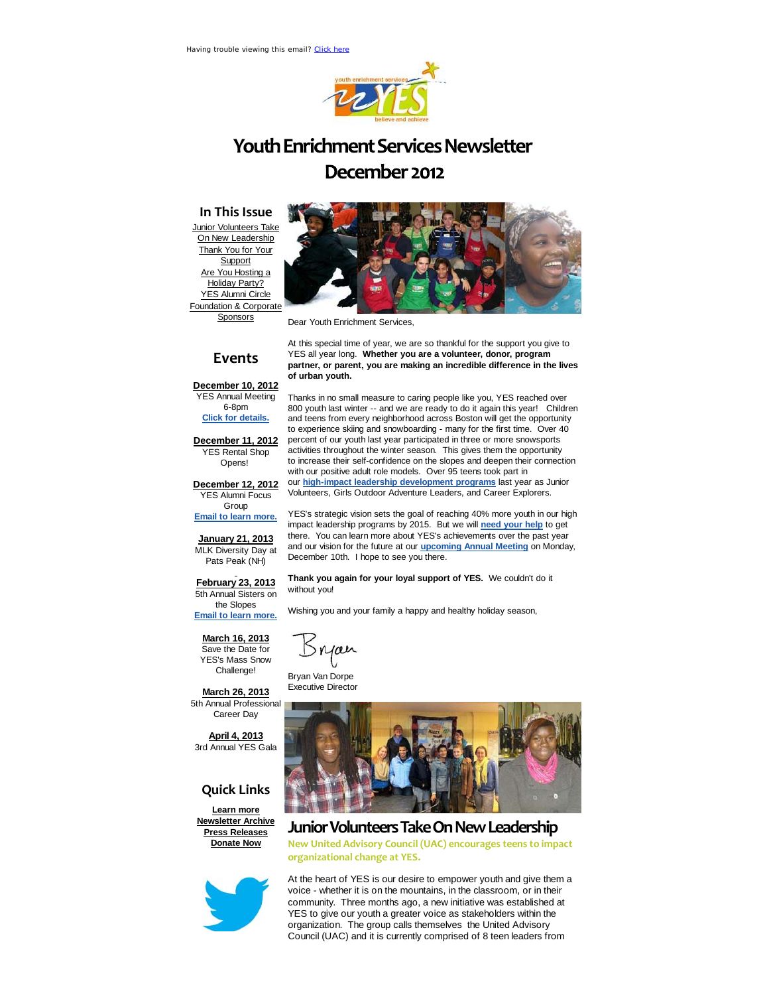

# **Youth Enrichment Services Newsletter** December 2012

#### **In This Issue**

Junior Volunteers Take **On New Leadership** Thank You for Your **Support** Are You Hosting a Holiday Party? YES Alumni Circle Foundation & Corporate **Sponsors** 



Dear Youth Enrichment Services,

### **Events**

At this special time of year, we are so thankful for the support you give to YES all year long. **Whether you are a volunteer, donor, program partner, or parent, you are making an incredible difference in the lives of urban youth.**

Thanks in no small measure to caring people like you, YES reached over 800 youth last winter -- and we are ready to do it again this year! Children and teens from every neighborhood across Boston will get the opportunity to experience skiing and snowboarding - many for the first time. Over 40 percent of our youth last year participated in three or more snowsports activities throughout the winter season. This gives them the opportunity to increase their self-confidence on the slopes and deepen their connection

with our positive adult role models. Over 95 teens took part in our **high-impact leadership development programs** last year as Junior Volunteers, Girls Outdoor Adventure Leaders, and Career Explorers. YES's strategic vision sets the goal of reaching 40% more youth in our high

**December 10, 2012** YES Annual Meeting 6-8pm **Click for details.**

**December 11, 2012** YES Rental Shop Opens!

**December 12, 2012** YES Alumni Focus Group

**Email to learn more.**

**January 21, 2013** MLK Diversity Day at Pats Peak (NH)

impact leadership programs by 2015. But we will **need your help** to get there. You can learn more about YES's achievements over the past year and our vision for the future at our **upcoming Annual Meeting** on Monday, December 10th. I hope to see you there.

**Thank you again for your loyal support of YES.** We couldn't do it

Wishing you and your family a happy and healthy holiday season,

**February 23, 2013** 5th Annual Sisters on the Slopes

**Email to learn more.**

**March 16, 2013**

Save the Date for YES's Mass Snow Challenge!

**March 26, 2013** 5th Annual Professional Career Day

**April 4, 2013** 3rd Annual YES Gala

#### **Quick Links**

**Learn more Newsletter Archive Press Releases Donate Now**



Snjæn

without you!

Bryan Van Dorpe Executive Director



#### **JuniorVolunteersTakeOnNewLeadership**

**New United Advisory Council (UAC) encourages teens to impact organizational change at YES.**

At the heart of YES is our desire to empower youth and give them a voice - whether it is on the mountains, in the classroom, or in their community. Three months ago, a new initiative was established at YES to give our youth a greater voice as stakeholders within the organization. The group calls themselves the United Advisory Council (UAC) and it is currently comprised of 8 teen leaders from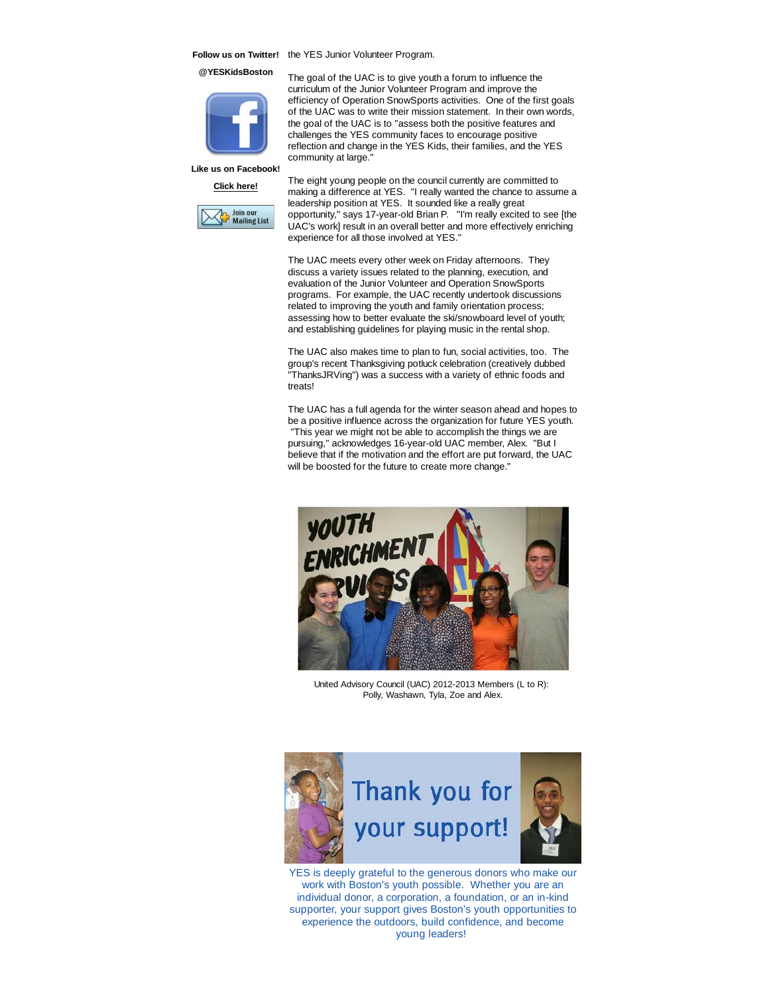Follow us on Twitter! the YES Junior Volunteer Program.

**@YESKidsBoston**



The goal of the UAC is to give youth a forum to influence the curriculum of the Junior Volunteer Program and improve the efficiency of Operation SnowSports activities. One of the first goals of the UAC was to write their mission statement. In their own words, the goal of the UAC is to "assess both the positive features and challenges the YES community faces to encourage positive reflection and change in the YES Kids, their families, and the YES community at large."

**Like us on Facebook! Click here!**



The eight young people on the council currently are committed to making a difference at YES. "I really wanted the chance to assume a leadership position at YES. It sounded like a really great opportunity," says 17-year-old Brian P. "I'm really excited to see [the UAC's work] result in an overall better and more effectively enriching experience for all those involved at YES."

The UAC meets every other week on Friday afternoons. They discuss a variety issues related to the planning, execution, and evaluation of the Junior Volunteer and Operation SnowSports programs. For example, the UAC recently undertook discussions related to improving the youth and family orientation process; assessing how to better evaluate the ski/snowboard level of youth; and establishing guidelines for playing music in the rental shop.

The UAC also makes time to plan to fun, social activities, too. The group's recent Thanksgiving potluck celebration (creatively dubbed "ThanksJRVing") was a success with a variety of ethnic foods and treats!

The UAC has a full agenda for the winter season ahead and hopes to be a positive influence across the organization for future YES youth. "This year we might not be able to accomplish the things we are pursuing," acknowledges 16-year-old UAC member, Alex. "But I believe that if the motivation and the effort are put forward, the UAC will be boosted for the future to create more change."



United Advisory Council (UAC) 2012-2013 Members (L to R): Polly, Washawn, Tyla, Zoe and Alex.



YES is deeply grateful to the generous donors who make our work with Boston's youth possible. Whether you are an individual donor, a corporation, a foundation, or an in-kind supporter, your support gives Boston's youth opportunities to experience the outdoors, build confidence, and become young leaders!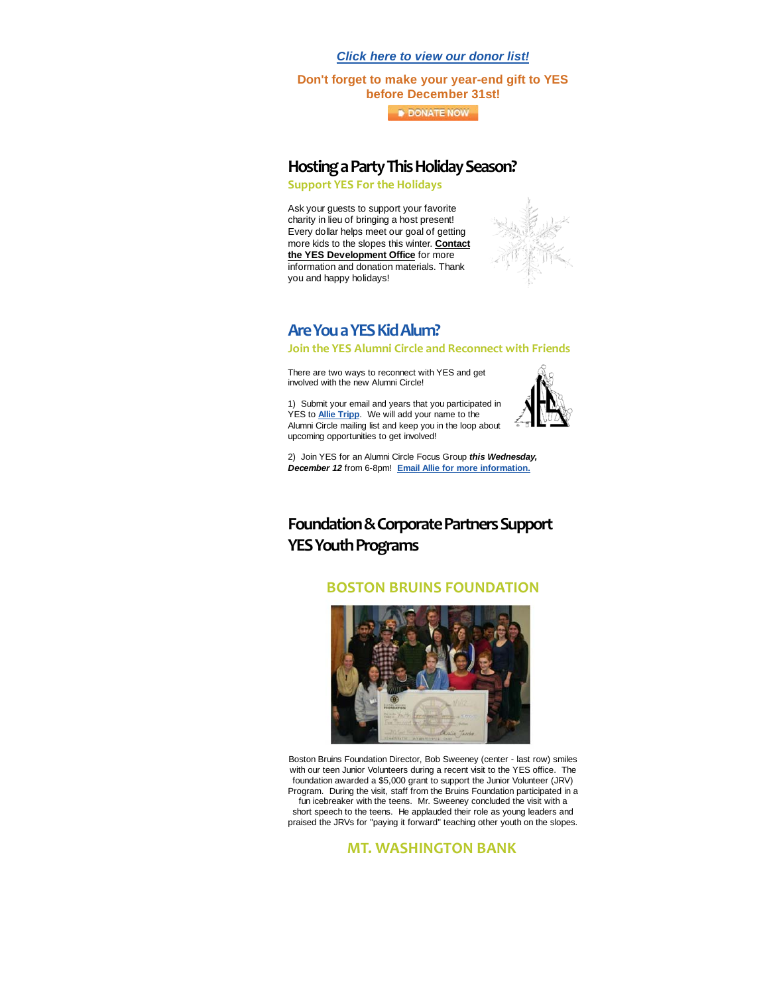*Click here to view our donor list!*

**Don't forget to make your year-end gift to YES before December 31st!**

**DONATE NOW** 

#### **Hosting a Party This Holiday Season?**

**Support YES For the Holidays**

Ask your guests to support your favorite charity in lieu of bringing a host present! Every dollar helps meet our goal of getting more kids to the slopes this winter. **Contact the YES Development Office** for more information and donation materials. Thank you and happy holidays!



#### Are You a YES Kid Alum?

**Join the YES Alumni Circle and Reconnect with Friends**

There are two ways to reconnect with YES and get involved with the new Alumni Circle!

1) Submit your email and years that you participated in YES to **Allie Tripp**. We will add your name to the Alumni Circle mailing list and keep you in the loop about upcoming opportunities to get involved!



2) Join YES for an Alumni Circle Focus Group *this Wednesday, December 12* from 6-8pm! **Email Allie for more information.**

## **Foundation&CorporatePartnersSupport YES Youth Programs**

#### **BOSTON BRUINS FOUNDATION**



Boston Bruins Foundation Director, Bob Sweeney (center - last row) smiles with our teen Junior Volunteers during a recent visit to the YES office. The foundation awarded a \$5,000 grant to support the Junior Volunteer (JRV) Program. During the visit, staff from the Bruins Foundation participated in a fun icebreaker with the teens. Mr. Sweeney concluded the visit with a short speech to the teens. He applauded their role as young leaders and praised the JRVs for "paying it forward" teaching other youth on the slopes.

#### **MT. WASHINGTON BANK**